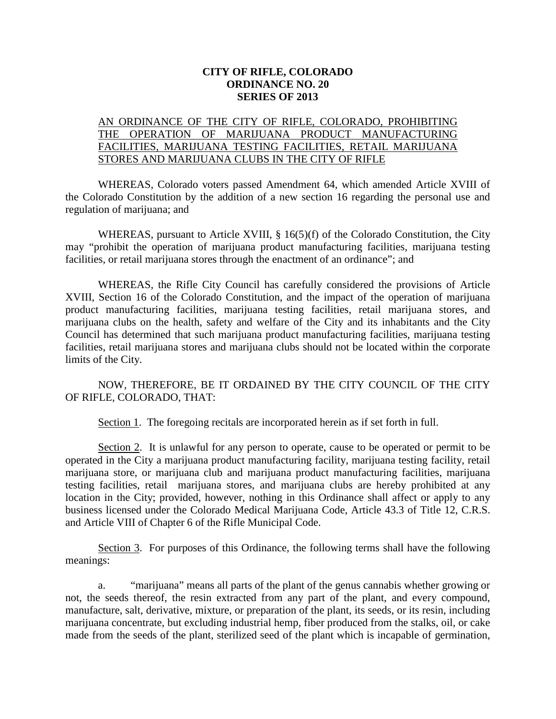## **CITY OF RIFLE, COLORADO ORDINANCE NO. 20 SERIES OF 2013**

## AN ORDINANCE OF THE CITY OF RIFLE, COLORADO, PROHIBITING THE OPERATION OF MARIJUANA PRODUCT MANUFACTURING FACILITIES, MARIJUANA TESTING FACILITIES, RETAIL MARIJUANA STORES AND MARIJUANA CLUBS IN THE CITY OF RIFLE

WHEREAS, Colorado voters passed Amendment 64, which amended Article XVIII of the Colorado Constitution by the addition of a new section 16 regarding the personal use and regulation of marijuana; and

WHEREAS, pursuant to Article XVIII, § 16(5)(f) of the Colorado Constitution, the City may "prohibit the operation of marijuana product manufacturing facilities, marijuana testing facilities, or retail marijuana stores through the enactment of an ordinance"; and

WHEREAS, the Rifle City Council has carefully considered the provisions of Article XVIII, Section 16 of the Colorado Constitution, and the impact of the operation of marijuana product manufacturing facilities, marijuana testing facilities, retail marijuana stores, and marijuana clubs on the health, safety and welfare of the City and its inhabitants and the City Council has determined that such marijuana product manufacturing facilities, marijuana testing facilities, retail marijuana stores and marijuana clubs should not be located within the corporate limits of the City.

## NOW, THEREFORE, BE IT ORDAINED BY THE CITY COUNCIL OF THE CITY OF RIFLE, COLORADO, THAT:

Section 1. The foregoing recitals are incorporated herein as if set forth in full.

Section 2. It is unlawful for any person to operate, cause to be operated or permit to be operated in the City a marijuana product manufacturing facility, marijuana testing facility, retail marijuana store, or marijuana club and marijuana product manufacturing facilities, marijuana testing facilities, retail marijuana stores, and marijuana clubs are hereby prohibited at any location in the City; provided, however, nothing in this Ordinance shall affect or apply to any business licensed under the Colorado Medical Marijuana Code, Article 43.3 of Title 12, C.R.S. and Article VIII of Chapter 6 of the Rifle Municipal Code.

Section 3. For purposes of this Ordinance, the following terms shall have the following meanings:

a. "marijuana" means all parts of the plant of the genus cannabis whether growing or not, the seeds thereof, the resin extracted from any part of the plant, and every compound, manufacture, salt, derivative, mixture, or preparation of the plant, its seeds, or its resin, including marijuana concentrate, but excluding industrial hemp, fiber produced from the stalks, oil, or cake made from the seeds of the plant, sterilized seed of the plant which is incapable of germination,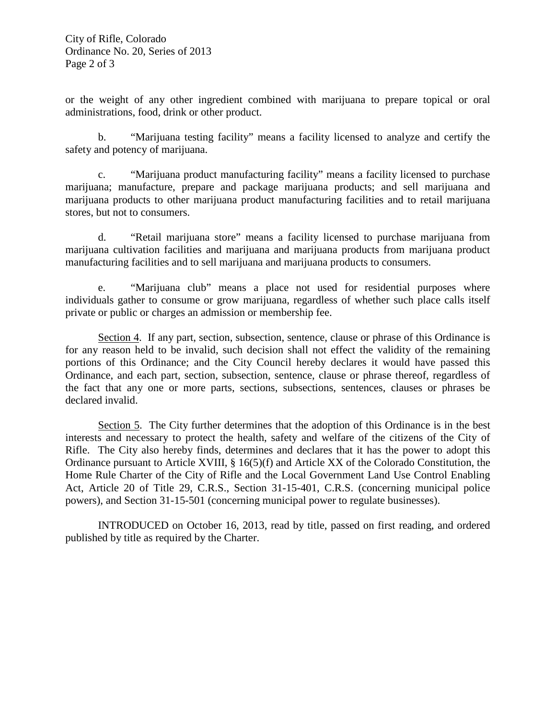or the weight of any other ingredient combined with marijuana to prepare topical or oral administrations, food, drink or other product.

b. "Marijuana testing facility" means a facility licensed to analyze and certify the safety and potency of marijuana.

c. "Marijuana product manufacturing facility" means a facility licensed to purchase marijuana; manufacture, prepare and package marijuana products; and sell marijuana and marijuana products to other marijuana product manufacturing facilities and to retail marijuana stores, but not to consumers.

d. "Retail marijuana store" means a facility licensed to purchase marijuana from marijuana cultivation facilities and marijuana and marijuana products from marijuana product manufacturing facilities and to sell marijuana and marijuana products to consumers.

e. "Marijuana club" means a place not used for residential purposes where individuals gather to consume or grow marijuana, regardless of whether such place calls itself private or public or charges an admission or membership fee.

Section 4. If any part, section, subsection, sentence, clause or phrase of this Ordinance is for any reason held to be invalid, such decision shall not effect the validity of the remaining portions of this Ordinance; and the City Council hereby declares it would have passed this Ordinance, and each part, section, subsection, sentence, clause or phrase thereof, regardless of the fact that any one or more parts, sections, subsections, sentences, clauses or phrases be declared invalid.

Section 5. The City further determines that the adoption of this Ordinance is in the best interests and necessary to protect the health, safety and welfare of the citizens of the City of Rifle. The City also hereby finds, determines and declares that it has the power to adopt this Ordinance pursuant to Article XVIII,  $\S 16(5)(f)$  and Article XX of the Colorado Constitution, the Home Rule Charter of the City of Rifle and the Local Government Land Use Control Enabling Act, Article 20 of Title 29, C.R.S., Section 31-15-401, C.R.S. (concerning municipal police powers), and Section 31-15-501 (concerning municipal power to regulate businesses).

INTRODUCED on October 16, 2013, read by title, passed on first reading, and ordered published by title as required by the Charter.